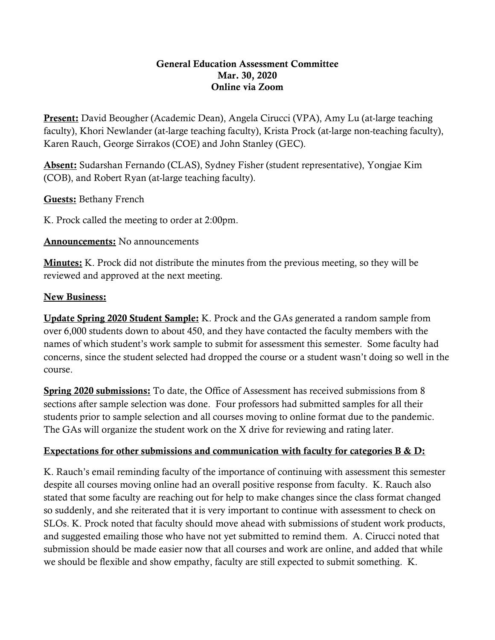## General Education Assessment Committee Mar. 30, 2020 Online via Zoom

**Present:** David Beougher (Academic Dean), Angela Cirucci (VPA), Amy Lu (at-large teaching faculty), Khori Newlander (at-large teaching faculty), Krista Prock (at-large non-teaching faculty), Karen Rauch, George Sirrakos (COE) and John Stanley (GEC).

Absent: Sudarshan Fernando (CLAS), Sydney Fisher (student representative), Yongjae Kim (COB), and Robert Ryan (at-large teaching faculty).

Guests: Bethany French

K. Prock called the meeting to order at 2:00pm.

## Announcements: No announcements

Minutes: K. Prock did not distribute the minutes from the previous meeting, so they will be reviewed and approved at the next meeting.

## New Business:

Update Spring 2020 Student Sample: K. Prock and the GAs generated a random sample from over 6,000 students down to about 450, and they have contacted the faculty members with the names of which student's work sample to submit for assessment this semester. Some faculty had concerns, since the student selected had dropped the course or a student wasn't doing so well in the course.

Spring 2020 submissions: To date, the Office of Assessment has received submissions from 8 sections after sample selection was done. Four professors had submitted samples for all their students prior to sample selection and all courses moving to online format due to the pandemic. The GAs will organize the student work on the X drive for reviewing and rating later.

## Expectations for other submissions and communication with faculty for categories B & D:

K. Rauch's email reminding faculty of the importance of continuing with assessment this semester despite all courses moving online had an overall positive response from faculty. K. Rauch also stated that some faculty are reaching out for help to make changes since the class format changed so suddenly, and she reiterated that it is very important to continue with assessment to check on SLOs. K. Prock noted that faculty should move ahead with submissions of student work products, and suggested emailing those who have not yet submitted to remind them. A. Cirucci noted that submission should be made easier now that all courses and work are online, and added that while we should be flexible and show empathy, faculty are still expected to submit something. K.